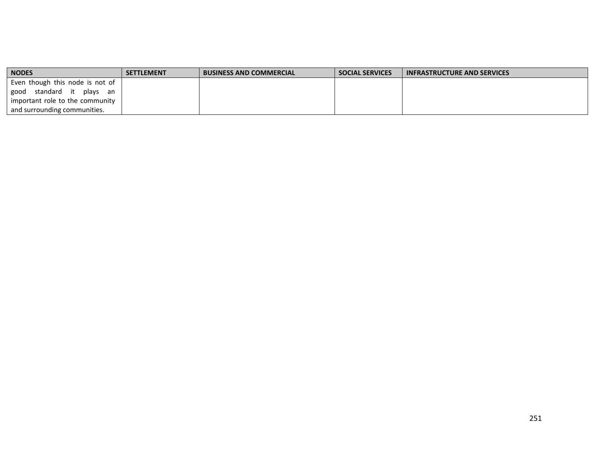| <b>NODES</b>                    | <b>SETTLEMENT</b> | <b>BUSINESS AND COMMERCIAL</b> | <b>SOCIAL SERVICES</b> | <b>INFRASTRUCTURE AND SERVICES</b> |
|---------------------------------|-------------------|--------------------------------|------------------------|------------------------------------|
| Even though this node is not of |                   |                                |                        |                                    |
| standard it plays an<br>good    |                   |                                |                        |                                    |
| important role to the community |                   |                                |                        |                                    |
| and surrounding communities.    |                   |                                |                        |                                    |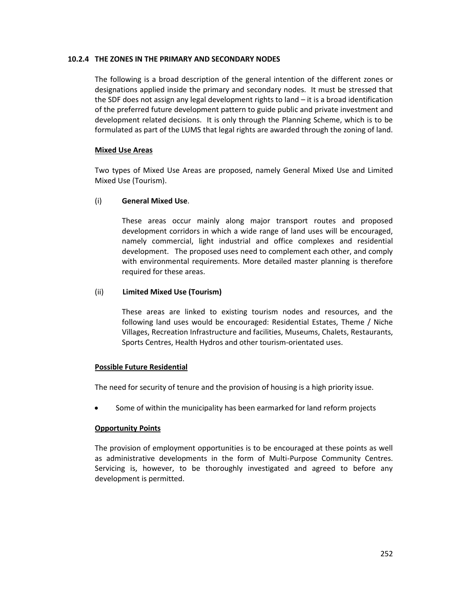## **10.2.4 THE ZONES IN THE PRIMARY AND SECONDARY NODES**

The following is a broad description of the general intention of the different zones or designations applied inside the primary and secondary nodes. It must be stressed that the SDF does not assign any legal development rights to land – it is a broad identification of the preferred future development pattern to guide public and private investment and development related decisions. It is only through the Planning Scheme, which is to be formulated as part of the LUMS that legal rights are awarded through the zoning of land.

## **Mixed Use Areas**

Two types of Mixed Use Areas are proposed, namely General Mixed Use and Limited Mixed Use (Tourism).

# (i) **General Mixed Use**.

These areas occur mainly along major transport routes and proposed development corridors in which a wide range of land uses will be encouraged, namely commercial, light industrial and office complexes and residential development. The proposed uses need to complement each other, and comply with environmental requirements. More detailed master planning is therefore required for these areas.

## (ii) **Limited Mixed Use (Tourism)**

These areas are linked to existing tourism nodes and resources, and the following land uses would be encouraged: Residential Estates, Theme / Niche Villages, Recreation Infrastructure and facilities, Museums, Chalets, Restaurants, Sports Centres, Health Hydros and other tourism-orientated uses.

#### **Possible Future Residential**

The need for security of tenure and the provision of housing is a high priority issue.

Some of within the municipality has been earmarked for land reform projects

# **Opportunity Points**

The provision of employment opportunities is to be encouraged at these points as well as administrative developments in the form of Multi-Purpose Community Centres. Servicing is, however, to be thoroughly investigated and agreed to before any development is permitted.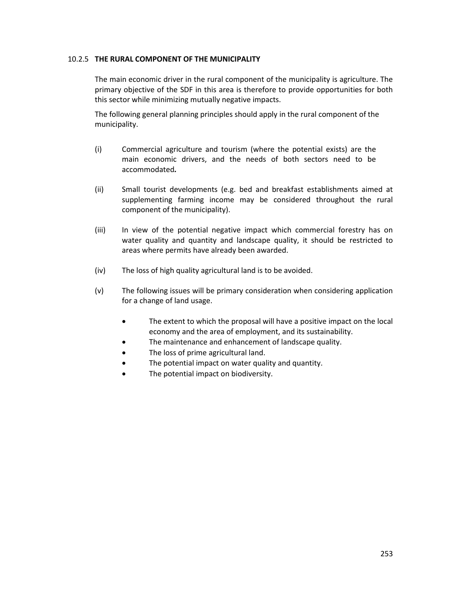## 10.2.5 **THE RURAL COMPONENT OF THE MUNICIPALITY**

The main economic driver in the rural component of the municipality is agriculture. The primary objective of the SDF in this area is therefore to provide opportunities for both this sector while minimizing mutually negative impacts.

The following general planning principles should apply in the rural component of the municipality.

- (i) Commercial agriculture and tourism (where the potential exists) are the main economic drivers, and the needs of both sectors need to be accommodated*.*
- (ii) Small tourist developments (e.g. bed and breakfast establishments aimed at supplementing farming income may be considered throughout the rural component of the municipality).
- (iii) In view of the potential negative impact which commercial forestry has on water quality and quantity and landscape quality, it should be restricted to areas where permits have already been awarded.
- (iv) The loss of high quality agricultural land is to be avoided.
- (v) The following issues will be primary consideration when considering application for a change of land usage.
	- The extent to which the proposal will have a positive impact on the local economy and the area of employment, and its sustainability.
	- The maintenance and enhancement of landscape quality.
	- The loss of prime agricultural land.
	- The potential impact on water quality and quantity.
	- The potential impact on biodiversity.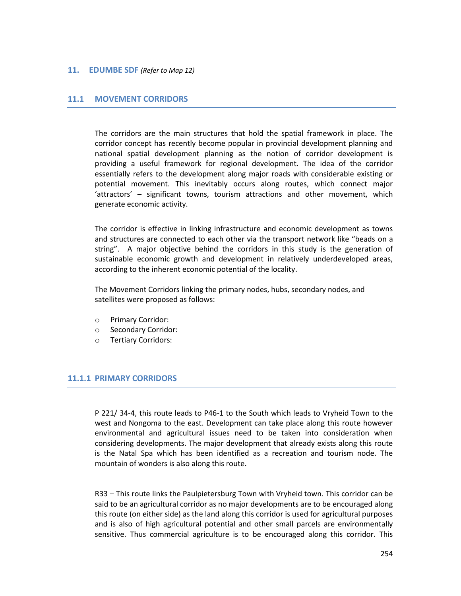## **11. EDUMBE SDF** *(Refer to Map 12)*

## **11.1 MOVEMENT CORRIDORS**

The corridors are the main structures that hold the spatial framework in place. The corridor concept has recently become popular in provincial development planning and national spatial development planning as the notion of corridor development is providing a useful framework for regional development. The idea of the corridor essentially refers to the development along major roads with considerable existing or potential movement. This inevitably occurs along routes, which connect major 'attractors' – significant towns, tourism attractions and other movement, which generate economic activity.

The corridor is effective in linking infrastructure and economic development as towns and structures are connected to each other via the transport network like "beads on a string". A major objective behind the corridors in this study is the generation of sustainable economic growth and development in relatively underdeveloped areas, according to the inherent economic potential of the locality.

The Movement Corridors linking the primary nodes, hubs, secondary nodes, and satellites were proposed as follows:

- o Primary Corridor:
- o Secondary Corridor:
- o Tertiary Corridors:

# **11.1.1 PRIMARY CORRIDORS**

P 221/ 34-4, this route leads to P46-1 to the South which leads to Vryheid Town to the west and Nongoma to the east. Development can take place along this route however environmental and agricultural issues need to be taken into consideration when considering developments. The major development that already exists along this route is the Natal Spa which has been identified as a recreation and tourism node. The mountain of wonders is also along this route.

R33 – This route links the Paulpietersburg Town with Vryheid town. This corridor can be said to be an agricultural corridor as no major developments are to be encouraged along this route (on either side) as the land along this corridor is used for agricultural purposes and is also of high agricultural potential and other small parcels are environmentally sensitive. Thus commercial agriculture is to be encouraged along this corridor. This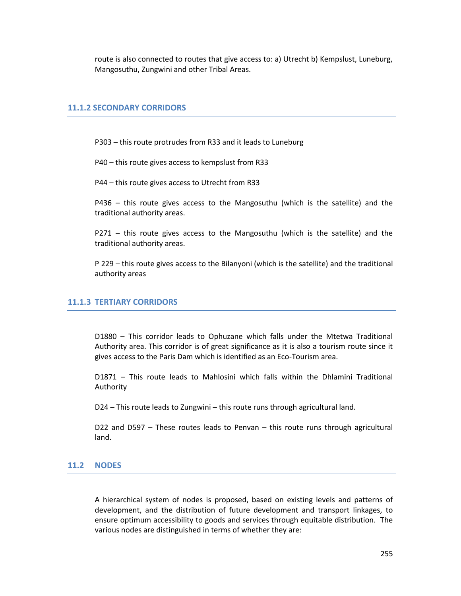route is also connected to routes that give access to: a) Utrecht b) Kempslust, Luneburg, Mangosuthu, Zungwini and other Tribal Areas.

# **11.1.2 SECONDARY CORRIDORS**

P303 – this route protrudes from R33 and it leads to Luneburg

P40 – this route gives access to kempslust from R33

P44 – this route gives access to Utrecht from R33

P436 – this route gives access to the Mangosuthu (which is the satellite) and the traditional authority areas.

P271 – this route gives access to the Mangosuthu (which is the satellite) and the traditional authority areas.

P 229 – this route gives access to the Bilanyoni (which is the satellite) and the traditional authority areas

# **11.1.3 TERTIARY CORRIDORS**

D1880 – This corridor leads to Ophuzane which falls under the Mtetwa Traditional Authority area. This corridor is of great significance as it is also a tourism route since it gives access to the Paris Dam which is identified as an Eco-Tourism area.

D1871 – This route leads to Mahlosini which falls within the Dhlamini Traditional Authority

D24 – This route leads to Zungwini – this route runs through agricultural land.

D22 and D597 – These routes leads to Penvan – this route runs through agricultural land.

#### **11.2 NODES**

A hierarchical system of nodes is proposed, based on existing levels and patterns of development, and the distribution of future development and transport linkages, to ensure optimum accessibility to goods and services through equitable distribution. The various nodes are distinguished in terms of whether they are: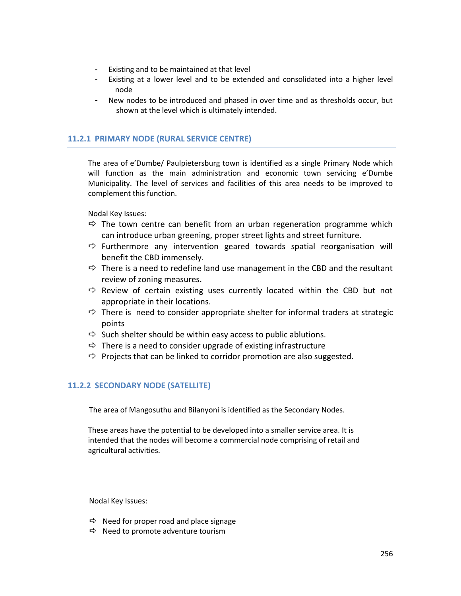- Existing and to be maintained at that level
- Existing at a lower level and to be extended and consolidated into a higher level node
- New nodes to be introduced and phased in over time and as thresholds occur, but shown at the level which is ultimately intended.

# **11.2.1 PRIMARY NODE (RURAL SERVICE CENTRE)**

The area of e'Dumbe/ Paulpietersburg town is identified as a single Primary Node which will function as the main administration and economic town servicing e'Dumbe Municipality. The level of services and facilities of this area needs to be improved to complement this function.

Nodal Key Issues:

- $\Rightarrow$  The town centre can benefit from an urban regeneration programme which can introduce urban greening, proper street lights and street furniture.
- $\Rightarrow$  Furthermore any intervention geared towards spatial reorganisation will benefit the CBD immensely.
- $\Rightarrow$  There is a need to redefine land use management in the CBD and the resultant review of zoning measures.
- $\Rightarrow$  Review of certain existing uses currently located within the CBD but not appropriate in their locations.
- $\Rightarrow$  There is need to consider appropriate shelter for informal traders at strategic points
- $\Rightarrow$  Such shelter should be within easy access to public ablutions.
- $\Rightarrow$  There is a need to consider upgrade of existing infrastructure
- $\Rightarrow$  Projects that can be linked to corridor promotion are also suggested.

# **11.2.2 SECONDARY NODE (SATELLITE)**

The area of Mangosuthu and Bilanyoni is identified as the Secondary Nodes.

These areas have the potential to be developed into a smaller service area. It is intended that the nodes will become a commercial node comprising of retail and agricultural activities.

Nodal Key Issues:

- $\Rightarrow$  Need for proper road and place signage
- $\Rightarrow$  Need to promote adventure tourism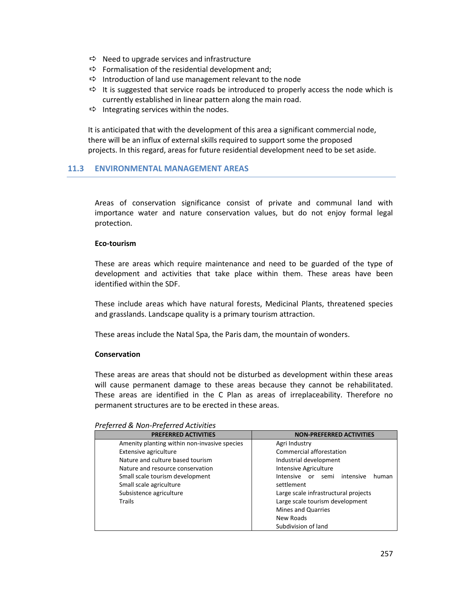- $\Rightarrow$  Need to upgrade services and infrastructure
- $\Rightarrow$  Formalisation of the residential development and;
- $\Rightarrow$  Introduction of land use management relevant to the node
- $\Rightarrow$  It is suggested that service roads be introduced to properly access the node which is currently established in linear pattern along the main road.
- $\Rightarrow$  Integrating services within the nodes.

It is anticipated that with the development of this area a significant commercial node, there will be an influx of external skills required to support some the proposed projects. In this regard, areas for future residential development need to be set aside.

# **11.3 ENVIRONMENTAL MANAGEMENT AREAS**

Areas of conservation significance consist of private and communal land with importance water and nature conservation values, but do not enjoy formal legal protection.

#### **Eco-tourism**

These are areas which require maintenance and need to be guarded of the type of development and activities that take place within them. These areas have been identified within the SDF.

These include areas which have natural forests, Medicinal Plants, threatened species and grasslands. Landscape quality is a primary tourism attraction.

These areas include the Natal Spa, the Paris dam, the mountain of wonders.

#### **Conservation**

These areas are areas that should not be disturbed as development within these areas will cause permanent damage to these areas because they cannot be rehabilitated. These areas are identified in the C Plan as areas of irreplaceability. Therefore no permanent structures are to be erected in these areas.

|  | Preferred & Non-Preferred Activities |  |
|--|--------------------------------------|--|
|--|--------------------------------------|--|

| <b>PREFERRED ACTIVITIES</b>                  | <b>NON-PREFERRED ACTIVITIES</b>            |
|----------------------------------------------|--------------------------------------------|
| Amenity planting within non-invasive species | Agri Industry                              |
| Extensive agriculture                        | Commercial afforestation                   |
| Nature and culture based tourism             | Industrial development                     |
| Nature and resource conservation             | <b>Intensive Agriculture</b>               |
| Small scale tourism development              | Intensive or<br>intensive<br>semi<br>human |
| Small scale agriculture                      | settlement                                 |
| Subsistence agriculture                      | Large scale infrastructural projects       |
| Trails                                       | Large scale tourism development            |
|                                              | <b>Mines and Quarries</b>                  |
|                                              | New Roads                                  |
|                                              | Subdivision of land                        |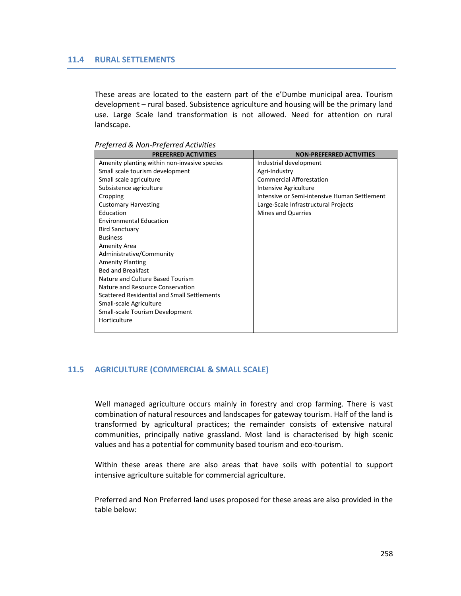## **11.4 RURAL SETTLEMENTS**

These areas are located to the eastern part of the e'Dumbe municipal area. Tourism development – rural based. Subsistence agriculture and housing will be the primary land use. Large Scale land transformation is not allowed. Need for attention on rural landscape.

| <b>PREFERRED ACTIVITIES</b>                  | <b>NON-PREFERRED ACTIVITIES</b>              |
|----------------------------------------------|----------------------------------------------|
| Amenity planting within non-invasive species | Industrial development                       |
| Small scale tourism development              | Agri-Industry                                |
| Small scale agriculture                      | <b>Commercial Afforestation</b>              |
| Subsistence agriculture                      | Intensive Agriculture                        |
| Cropping                                     | Intensive or Semi-intensive Human Settlement |
| <b>Customary Harvesting</b>                  | Large-Scale Infrastructural Projects         |
| Education                                    | <b>Mines and Quarries</b>                    |
| <b>Environmental Education</b>               |                                              |
| <b>Bird Sanctuary</b>                        |                                              |
| <b>Business</b>                              |                                              |
| Amenity Area                                 |                                              |
| Administrative/Community                     |                                              |
| <b>Amenity Planting</b>                      |                                              |
| <b>Bed and Breakfast</b>                     |                                              |
| Nature and Culture Based Tourism             |                                              |
| Nature and Resource Conservation             |                                              |
| Scattered Residential and Small Settlements  |                                              |
| Small-scale Agriculture                      |                                              |
| Small-scale Tourism Development              |                                              |
| Horticulture                                 |                                              |
|                                              |                                              |

*Preferred & Non-Preferred Activities* 

# **11.5 AGRICULTURE (COMMERCIAL & SMALL SCALE)**

Well managed agriculture occurs mainly in forestry and crop farming. There is vast combination of natural resources and landscapes for gateway tourism. Half of the land is transformed by agricultural practices; the remainder consists of extensive natural communities, principally native grassland. Most land is characterised by high scenic values and has a potential for community based tourism and eco-tourism.

Within these areas there are also areas that have soils with potential to support intensive agriculture suitable for commercial agriculture.

Preferred and Non Preferred land uses proposed for these areas are also provided in the table below: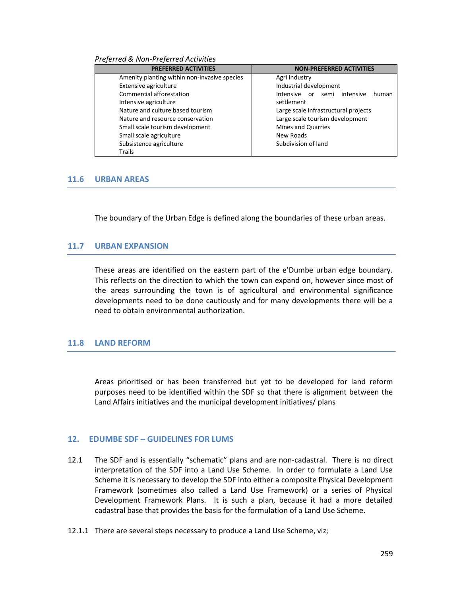#### *Preferred & Non-Preferred Activities*

| <b>PREFERRED ACTIVITIES</b>                  | <b>NON-PREFERRED ACTIVITIES</b>            |
|----------------------------------------------|--------------------------------------------|
| Amenity planting within non-invasive species | Agri Industry                              |
| Extensive agriculture                        | Industrial development                     |
| Commercial afforestation                     | semi intensive<br>Intensive<br>or<br>human |
| Intensive agriculture                        | settlement                                 |
| Nature and culture based tourism             | Large scale infrastructural projects       |
| Nature and resource conservation             | Large scale tourism development            |
| Small scale tourism development              | <b>Mines and Quarries</b>                  |
| Small scale agriculture                      | New Roads                                  |
| Subsistence agriculture                      | Subdivision of land                        |
| <b>Trails</b>                                |                                            |

#### **11.6 URBAN AREAS**

The boundary of the Urban Edge is defined along the boundaries of these urban areas.

# **11.7 URBAN EXPANSION**

These areas are identified on the eastern part of the e'Dumbe urban edge boundary. This reflects on the direction to which the town can expand on, however since most of the areas surrounding the town is of agricultural and environmental significance developments need to be done cautiously and for many developments there will be a need to obtain environmental authorization.

#### **11.8 LAND REFORM**

Areas prioritised or has been transferred but yet to be developed for land reform purposes need to be identified within the SDF so that there is alignment between the Land Affairs initiatives and the municipal development initiatives/ plans

# **12. EDUMBE SDF – GUIDELINES FOR LUMS**

- 12.1 The SDF and is essentially "schematic" plans and are non-cadastral. There is no direct interpretation of the SDF into a Land Use Scheme. In order to formulate a Land Use Scheme it is necessary to develop the SDF into either a composite Physical Development Framework (sometimes also called a Land Use Framework) or a series of Physical Development Framework Plans. It is such a plan, because it had a more detailed cadastral base that provides the basis for the formulation of a Land Use Scheme.
- 12.1.1 There are several steps necessary to produce a Land Use Scheme, viz;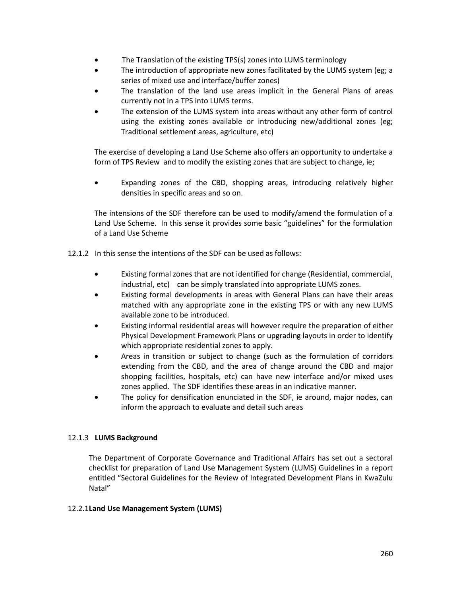- The Translation of the existing TPS(s) zones into LUMS terminology
- The introduction of appropriate new zones facilitated by the LUMS system (eg; a series of mixed use and interface/buffer zones)
- The translation of the land use areas implicit in the General Plans of areas currently not in a TPS into LUMS terms.
- The extension of the LUMS system into areas without any other form of control using the existing zones available or introducing new/additional zones (eg; Traditional settlement areas, agriculture, etc)

The exercise of developing a Land Use Scheme also offers an opportunity to undertake a form of TPS Review and to modify the existing zones that are subject to change, ie;

 Expanding zones of the CBD, shopping areas, introducing relatively higher densities in specific areas and so on.

The intensions of the SDF therefore can be used to modify/amend the formulation of a Land Use Scheme. In this sense it provides some basic "guidelines" for the formulation of a Land Use Scheme

- 12.1.2 In this sense the intentions of the SDF can be used as follows:
	- Existing formal zones that are not identified for change (Residential, commercial, industrial, etc) can be simply translated into appropriate LUMS zones.
	- Existing formal developments in areas with General Plans can have their areas matched with any appropriate zone in the existing TPS or with any new LUMS available zone to be introduced.
	- Existing informal residential areas will however require the preparation of either Physical Development Framework Plans or upgrading layouts in order to identify which appropriate residential zones to apply.
	- Areas in transition or subject to change (such as the formulation of corridors extending from the CBD, and the area of change around the CBD and major shopping facilities, hospitals, etc) can have new interface and/or mixed uses zones applied. The SDF identifies these areas in an indicative manner.
	- The policy for densification enunciated in the SDF, ie around, major nodes, can inform the approach to evaluate and detail such areas

# 12.1.3 **LUMS Background**

The Department of Corporate Governance and Traditional Affairs has set out a sectoral checklist for preparation of Land Use Management System (LUMS) Guidelines in a report entitled "Sectoral Guidelines for the Review of Integrated Development Plans in KwaZulu Natal"

# 12.2.1**Land Use Management System (LUMS)**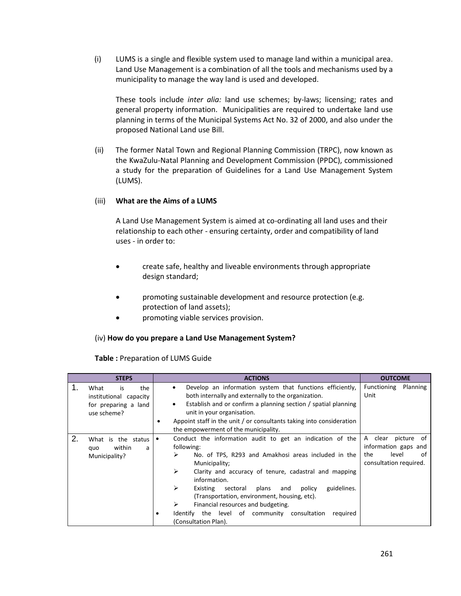(i) LUMS is a single and flexible system used to manage land within a municipal area. Land Use Management is a combination of all the tools and mechanisms used by a municipality to manage the way land is used and developed.

These tools include *inter alia:* land use schemes; by-laws; licensing; rates and general property information. Municipalities are required to undertake land use planning in terms of the Municipal Systems Act No. 32 of 2000, and also under the proposed National Land use Bill.

(ii) The former Natal Town and Regional Planning Commission (TRPC), now known as the KwaZulu-Natal Planning and Development Commission (PPDC), commissioned a study for the preparation of Guidelines for a Land Use Management System (LUMS).

# (iii) **What are the Aims of a LUMS**

A Land Use Management System is aimed at co-ordinating all land uses and their relationship to each other - ensuring certainty, order and compatibility of land uses - in order to:

- create safe, healthy and liveable environments through appropriate design standard;
- promoting sustainable development and resource protection (e.g. protection of land assets);
- promoting viable services provision.

# (iv) **How do you prepare a Land Use Management System?**

# **Table :** Preparation of LUMS Guide

| <b>STEPS</b>                                                                             | <b>ACTIONS</b>                                                                                                                                                                                                                                                                                                                                                                                                                                                                                    | <b>OUTCOME</b>                                                                                |
|------------------------------------------------------------------------------------------|---------------------------------------------------------------------------------------------------------------------------------------------------------------------------------------------------------------------------------------------------------------------------------------------------------------------------------------------------------------------------------------------------------------------------------------------------------------------------------------------------|-----------------------------------------------------------------------------------------------|
| 1.<br>the<br>What<br>is<br>institutional capacity<br>for preparing a land<br>use scheme? | Develop an information system that functions efficiently,<br>٠<br>both internally and externally to the organization.<br>Establish and or confirm a planning section / spatial planning<br>٠<br>unit in your organisation.<br>Appoint staff in the unit / or consultants taking into consideration<br>the empowerment of the municipality.                                                                                                                                                        | Functioning<br>Planning<br>Unit                                                               |
| 2.<br>What<br>the status<br>is<br>within<br>quo<br>a<br>Municipality?                    | Conduct the information audit to get an indication of the<br>٠<br>following:<br>⋗<br>No. of TPS, R293 and Amakhosi areas included in the<br>Municipality;<br>➤<br>Clarity and accuracy of tenure, cadastral and mapping<br>information.<br>⋗<br>guidelines.<br>Existing<br>plans<br>sectoral<br>and<br>policy<br>(Transportation, environment, housing, etc).<br>⋗<br>Financial resources and budgeting.<br>Identify the level of community consultation<br>reguired<br>٠<br>(Consultation Plan). | A clear<br>picture of<br>information gaps and<br>the<br>level<br>οf<br>consultation required. |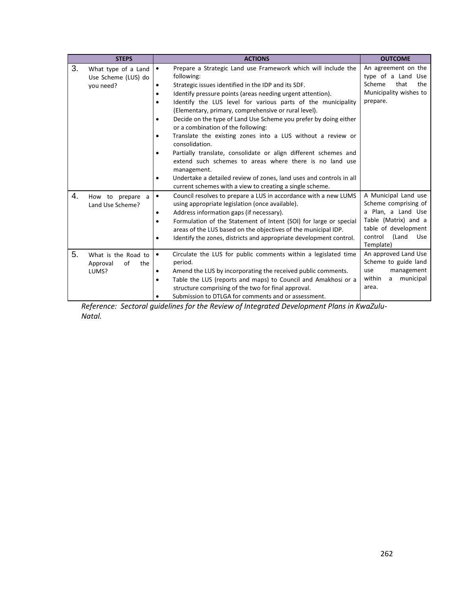|    | <b>STEPS</b>          | <b>ACTIONS</b>                                                                  | <b>OUTCOME</b>           |
|----|-----------------------|---------------------------------------------------------------------------------|--------------------------|
| 3. | What type of a Land   | Prepare a Strategic Land use Framework which will include the<br>$\bullet$      | An agreement on the      |
|    | Use Scheme (LUS) do   | following:                                                                      | type of a Land<br>Use    |
|    | you need?             | Strategic issues identified in the IDP and its SDF.<br>$\bullet$                | Scheme<br>that<br>the    |
|    |                       | Identify pressure points (areas needing urgent attention).<br>٠                 | Municipality wishes to   |
|    |                       | Identify the LUS level for various parts of the municipality<br>$\bullet$       | prepare.                 |
|    |                       | (Elementary, primary, comprehensive or rural level).                            |                          |
|    |                       | Decide on the type of Land Use Scheme you prefer by doing either<br>$\bullet$   |                          |
|    |                       | or a combination of the following:                                              |                          |
|    |                       | Translate the existing zones into a LUS without a review or<br>consolidation.   |                          |
|    |                       | Partially translate, consolidate or align different schemes and<br>$\bullet$    |                          |
|    |                       | extend such schemes to areas where there is no land use                         |                          |
|    |                       | management.                                                                     |                          |
|    |                       | Undertake a detailed review of zones, land uses and controls in all<br>٠        |                          |
|    |                       | current schemes with a view to creating a single scheme.                        |                          |
| 4. | How to prepare a      | Council resolves to prepare a LUS in accordance with a new LUMS<br>$\bullet$    | A Municipal Land use     |
|    | Land Use Scheme?      | using appropriate legislation (once available).                                 | Scheme comprising of     |
|    |                       | Address information gaps (if necessary).<br>٠                                   | a Plan, a Land Use       |
|    |                       | Formulation of the Statement of Intent (SOI) for large or special<br>$\bullet$  | Table (Matrix) and a     |
|    |                       | areas of the LUS based on the objectives of the municipal IDP.                  | table of development     |
|    |                       | Identify the zones, districts and appropriate development control.<br>$\bullet$ | control<br>(Land<br>Use  |
|    |                       |                                                                                 | Template)                |
| 5. | What is the Road to   | Circulate the LUS for public comments within a legislated time<br>$\bullet$     | An approved Land Use     |
|    | Approval<br>of<br>the | period.                                                                         | Scheme to guide land     |
|    | LUMS?                 | Amend the LUS by incorporating the received public comments.<br>$\bullet$       | management<br>use        |
|    |                       | Table the LUS (reports and maps) to Council and Amakhosi or a<br>٠              | within<br>municipal<br>a |
|    |                       | structure comprising of the two for final approval.                             | area.                    |
|    |                       | Submission to DTLGA for comments and or assessment.                             |                          |

*Reference: Sectoral guidelines for the Review of Integrated Development Plans in KwaZulu-Natal.*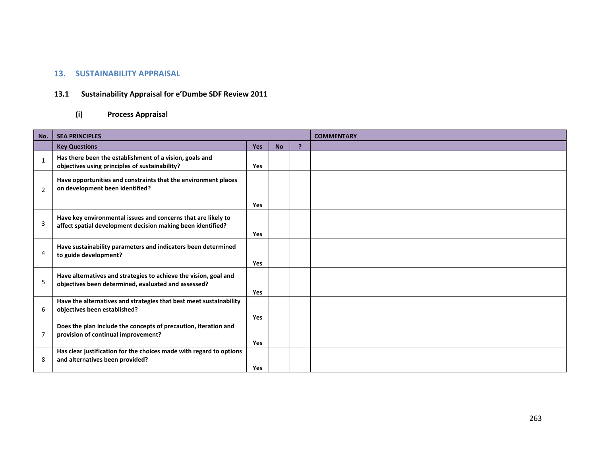# **13. SUSTAINABILITY APPRAISAL**

# **13.1 Sustainability Appraisal for e'Dumbe SDF Review 2011**

# **(i) Process Appraisal**

| No.                      | <b>SEA PRINCIPLES</b>                                                                                                        |            |           |                | <b>COMMENTARY</b> |
|--------------------------|------------------------------------------------------------------------------------------------------------------------------|------------|-----------|----------------|-------------------|
|                          | <b>Key Questions</b>                                                                                                         | <b>Yes</b> | <b>No</b> | $\overline{P}$ |                   |
| $\overline{\phantom{a}}$ | Has there been the establishment of a vision, goals and<br>objectives using principles of sustainability?                    | <b>Yes</b> |           |                |                   |
| $\overline{2}$           | Have opportunities and constraints that the environment places<br>on development been identified?                            |            |           |                |                   |
|                          |                                                                                                                              | <b>Yes</b> |           |                |                   |
| $\overline{3}$           | Have key environmental issues and concerns that are likely to<br>affect spatial development decision making been identified? | <b>Yes</b> |           |                |                   |
| 4                        | Have sustainability parameters and indicators been determined<br>to guide development?                                       | <b>Yes</b> |           |                |                   |
| 5                        | Have alternatives and strategies to achieve the vision, goal and<br>objectives been determined, evaluated and assessed?      | <b>Yes</b> |           |                |                   |
| 6                        | Have the alternatives and strategies that best meet sustainability<br>objectives been established?                           | <b>Yes</b> |           |                |                   |
| $\overline{7}$           | Does the plan include the concepts of precaution, iteration and<br>provision of continual improvement?                       | <b>Yes</b> |           |                |                   |
| 8                        | Has clear justification for the choices made with regard to options<br>and alternatives been provided?                       | <b>Yes</b> |           |                |                   |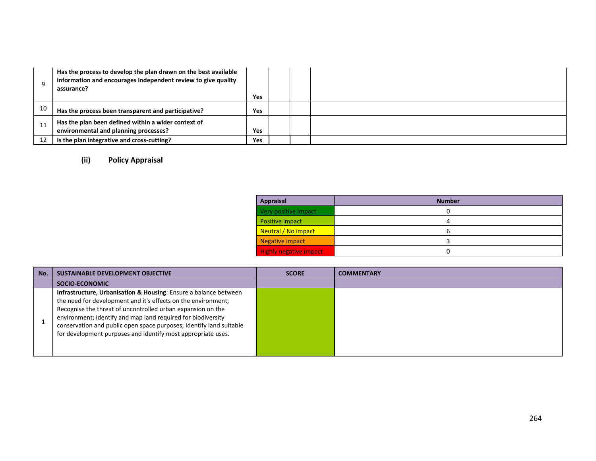|    | Has the process to develop the plan drawn on the best available<br>information and encourages independent review to give quality<br>assurance? | Yes |  |  |
|----|------------------------------------------------------------------------------------------------------------------------------------------------|-----|--|--|
| 10 | Has the process been transparent and participative?                                                                                            | Yes |  |  |
| 11 | Has the plan been defined within a wider context of<br>environmental and planning processes?                                                   | Yes |  |  |
| 12 | Is the plan integrative and cross-cutting?                                                                                                     | Yes |  |  |

# **(ii) Policy Appraisal**

| <b>Appraisal</b>              | <b>Number</b> |
|-------------------------------|---------------|
| Very positive impact          |               |
| Positive impact               | Δ             |
| Neutral / No impact           | h             |
| Negative impact               |               |
| <b>Highly negative impact</b> |               |

| No. | SUSTAINABLE DEVELOPMENT OBJECTIVE                                                                                                                                                                                                                                                                                                                                                                                  | <b>SCORE</b> | <b>COMMENTARY</b> |
|-----|--------------------------------------------------------------------------------------------------------------------------------------------------------------------------------------------------------------------------------------------------------------------------------------------------------------------------------------------------------------------------------------------------------------------|--------------|-------------------|
|     | SOCIO-ECONOMIC                                                                                                                                                                                                                                                                                                                                                                                                     |              |                   |
|     | <b>Infrastructure, Urbanisation &amp; Housing:</b> Ensure a balance between<br>the need for development and it's effects on the environment;<br>Recognise the threat of uncontrolled urban expansion on the<br>environment; Identify and map land required for biodiversity<br>conservation and public open space purposes; Identify land suitable<br>for development purposes and identify most appropriate uses. |              |                   |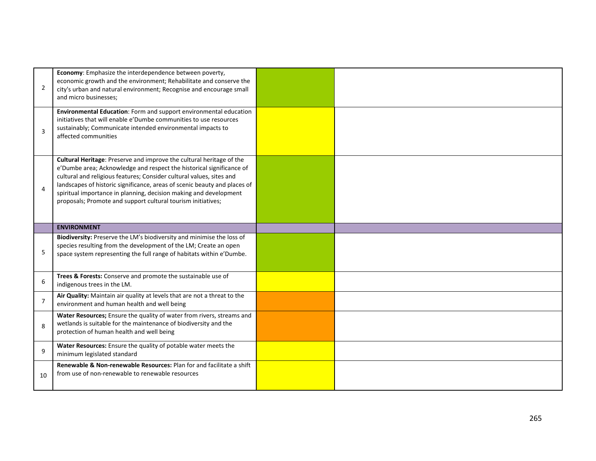| $\overline{2}$ | Economy: Emphasize the interdependence between poverty,<br>economic growth and the environment; Rehabilitate and conserve the<br>city's urban and natural environment; Recognise and encourage small<br>and micro businesses;                                                                                                                                                                                                          |  |
|----------------|----------------------------------------------------------------------------------------------------------------------------------------------------------------------------------------------------------------------------------------------------------------------------------------------------------------------------------------------------------------------------------------------------------------------------------------|--|
| 3              | Environmental Education: Form and support environmental education<br>initiatives that will enable e'Dumbe communities to use resources<br>sustainably; Communicate intended environmental impacts to<br>affected communities                                                                                                                                                                                                           |  |
| $\overline{4}$ | Cultural Heritage: Preserve and improve the cultural heritage of the<br>e'Dumbe area; Acknowledge and respect the historical significance of<br>cultural and religious features; Consider cultural values, sites and<br>landscapes of historic significance, areas of scenic beauty and places of<br>spiritual importance in planning, decision making and development<br>proposals; Promote and support cultural tourism initiatives; |  |
|                | <b>ENVIRONMENT</b>                                                                                                                                                                                                                                                                                                                                                                                                                     |  |
| 5              | Biodiversity: Preserve the LM's biodiversity and minimise the loss of<br>species resulting from the development of the LM; Create an open<br>space system representing the full range of habitats within e'Dumbe.                                                                                                                                                                                                                      |  |
| 6              | Trees & Forests: Conserve and promote the sustainable use of<br>indigenous trees in the LM.                                                                                                                                                                                                                                                                                                                                            |  |
| $\overline{7}$ | Air Quality: Maintain air quality at levels that are not a threat to the<br>environment and human health and well being                                                                                                                                                                                                                                                                                                                |  |
| 8              | Water Resources; Ensure the quality of water from rivers, streams and<br>wetlands is suitable for the maintenance of biodiversity and the<br>protection of human health and well being                                                                                                                                                                                                                                                 |  |
| 9              | Water Resources: Ensure the quality of potable water meets the<br>minimum legislated standard                                                                                                                                                                                                                                                                                                                                          |  |
| 10             | Renewable & Non-renewable Resources: Plan for and facilitate a shift<br>from use of non-renewable to renewable resources                                                                                                                                                                                                                                                                                                               |  |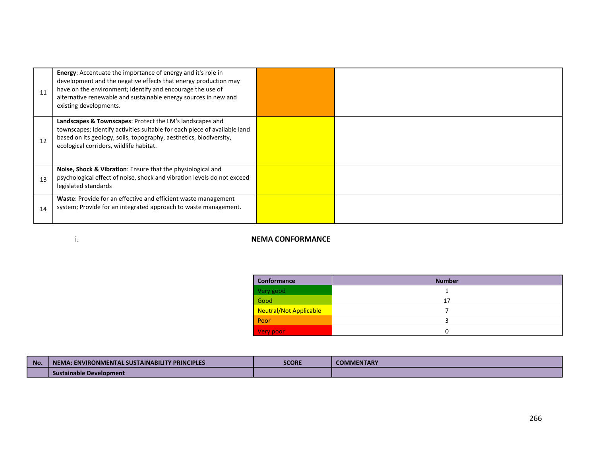| 11 | Energy: Accentuate the importance of energy and it's role in<br>development and the negative effects that energy production may<br>have on the environment; Identify and encourage the use of<br>alternative renewable and sustainable energy sources in new and<br>existing developments. |  |
|----|--------------------------------------------------------------------------------------------------------------------------------------------------------------------------------------------------------------------------------------------------------------------------------------------|--|
| 12 | Landscapes & Townscapes: Protect the LM's landscapes and<br>townscapes; Identify activities suitable for each piece of available land<br>based on its geology, soils, topography, aesthetics, biodiversity,<br>ecological corridors, wildlife habitat.                                     |  |
| 13 | <b>Noise, Shock &amp; Vibration:</b> Ensure that the physiological and<br>psychological effect of noise, shock and vibration levels do not exceed<br>legislated standards                                                                                                                  |  |
| 14 | Waste: Provide for an effective and efficient waste management<br>system; Provide for an integrated approach to waste management.                                                                                                                                                          |  |

# i. **NEMA CONFORMANCE**

| Conformance                   | <b>Number</b> |
|-------------------------------|---------------|
| Very good                     |               |
| Good                          | 17            |
| <b>Neutral/Not Applicable</b> |               |
| Poor                          |               |
| Very poor                     | 0             |

| <b>No</b> | <b><i>Y PRINCIPLES</i></b><br>A: ENVIRONMENTAL SUSTAINABILITY<br><b>NEM</b> | <b>SCORE</b> | <b>COMMENTARY</b> |
|-----------|-----------------------------------------------------------------------------|--------------|-------------------|
|           | Sustainable Development                                                     |              |                   |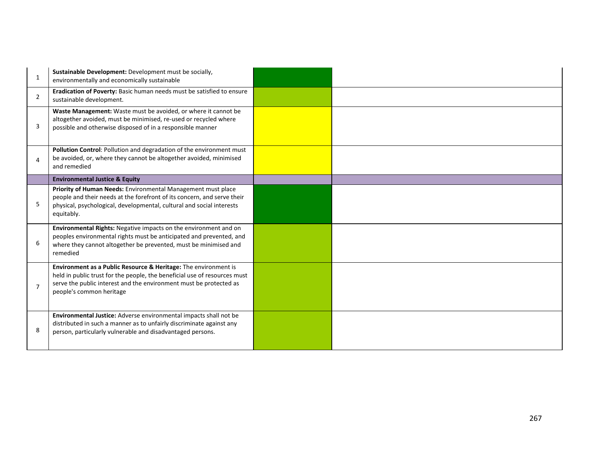| $\mathbf{1}$   | Sustainable Development: Development must be socially,<br>environmentally and economically sustainable                                                                                                                                         |  |
|----------------|------------------------------------------------------------------------------------------------------------------------------------------------------------------------------------------------------------------------------------------------|--|
| $\overline{2}$ | Eradication of Poverty: Basic human needs must be satisfied to ensure<br>sustainable development.                                                                                                                                              |  |
| 3              | Waste Management: Waste must be avoided, or where it cannot be<br>altogether avoided, must be minimised, re-used or recycled where<br>possible and otherwise disposed of in a responsible manner                                               |  |
| $\overline{4}$ | Pollution Control: Pollution and degradation of the environment must<br>be avoided, or, where they cannot be altogether avoided, minimised<br>and remedied                                                                                     |  |
|                | <b>Environmental Justice &amp; Equity</b>                                                                                                                                                                                                      |  |
| 5              | Priority of Human Needs: Environmental Management must place<br>people and their needs at the forefront of its concern, and serve their<br>physical, psychological, developmental, cultural and social interests<br>equitably.                 |  |
| 6              | Environmental Rights: Negative impacts on the environment and on<br>peoples environmental rights must be anticipated and prevented, and<br>where they cannot altogether be prevented, must be minimised and<br>remedied                        |  |
| $\overline{7}$ | Environment as a Public Resource & Heritage: The environment is<br>held in public trust for the people, the beneficial use of resources must<br>serve the public interest and the environment must be protected as<br>people's common heritage |  |
| 8              | Environmental Justice: Adverse environmental impacts shall not be<br>distributed in such a manner as to unfairly discriminate against any<br>person, particularly vulnerable and disadvantaged persons.                                        |  |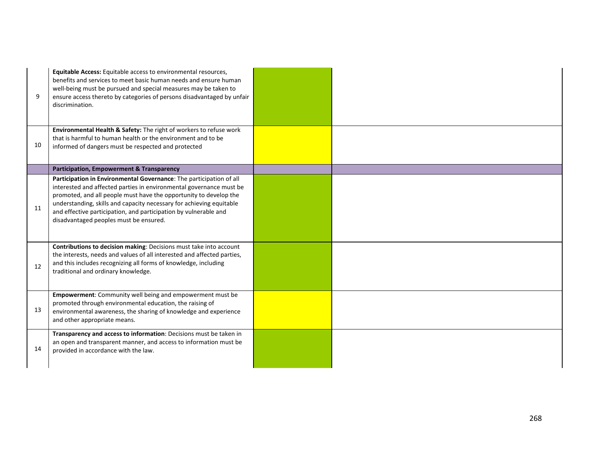| 9  | Equitable Access: Equitable access to environmental resources,<br>benefits and services to meet basic human needs and ensure human<br>well-being must be pursued and special measures may be taken to<br>ensure access thereto by categories of persons disadvantaged by unfair<br>discrimination.                                                                                                    |  |
|----|-------------------------------------------------------------------------------------------------------------------------------------------------------------------------------------------------------------------------------------------------------------------------------------------------------------------------------------------------------------------------------------------------------|--|
| 10 | Environmental Health & Safety: The right of workers to refuse work<br>that is harmful to human health or the environment and to be<br>informed of dangers must be respected and protected                                                                                                                                                                                                             |  |
|    | <b>Participation, Empowerment &amp; Transparency</b>                                                                                                                                                                                                                                                                                                                                                  |  |
| 11 | Participation in Environmental Governance: The participation of all<br>interested and affected parties in environmental governance must be<br>promoted, and all people must have the opportunity to develop the<br>understanding, skills and capacity necessary for achieving equitable<br>and effective participation, and participation by vulnerable and<br>disadvantaged peoples must be ensured. |  |
| 12 | Contributions to decision making: Decisions must take into account<br>the interests, needs and values of all interested and affected parties,<br>and this includes recognizing all forms of knowledge, including<br>traditional and ordinary knowledge.                                                                                                                                               |  |
| 13 | Empowerment: Community well being and empowerment must be<br>promoted through environmental education, the raising of<br>environmental awareness, the sharing of knowledge and experience<br>and other appropriate means.                                                                                                                                                                             |  |
| 14 | Transparency and access to information: Decisions must be taken in<br>an open and transparent manner, and access to information must be<br>provided in accordance with the law.                                                                                                                                                                                                                       |  |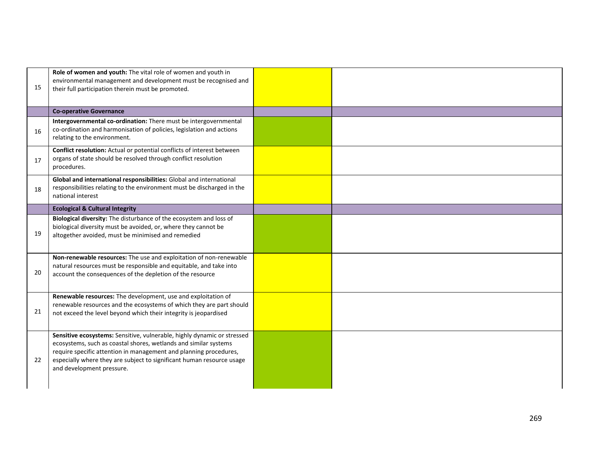| 15 | Role of women and youth: The vital role of women and youth in<br>environmental management and development must be recognised and                                                                                                                                                                                       |  |
|----|------------------------------------------------------------------------------------------------------------------------------------------------------------------------------------------------------------------------------------------------------------------------------------------------------------------------|--|
|    | their full participation therein must be promoted.                                                                                                                                                                                                                                                                     |  |
|    | <b>Co-operative Governance</b>                                                                                                                                                                                                                                                                                         |  |
| 16 | Intergovernmental co-ordination: There must be intergovernmental<br>co-ordination and harmonisation of policies, legislation and actions<br>relating to the environment.                                                                                                                                               |  |
| 17 | Conflict resolution: Actual or potential conflicts of interest between<br>organs of state should be resolved through conflict resolution<br>procedures.                                                                                                                                                                |  |
| 18 | Global and international responsibilities: Global and international<br>responsibilities relating to the environment must be discharged in the<br>national interest                                                                                                                                                     |  |
|    | <b>Ecological &amp; Cultural Integrity</b>                                                                                                                                                                                                                                                                             |  |
| 19 | Biological diversity: The disturbance of the ecosystem and loss of<br>biological diversity must be avoided, or, where they cannot be<br>altogether avoided, must be minimised and remedied                                                                                                                             |  |
| 20 | Non-renewable resources: The use and exploitation of non-renewable<br>natural resources must be responsible and equitable, and take into<br>account the consequences of the depletion of the resource                                                                                                                  |  |
| 21 | Renewable resources: The development, use and exploitation of<br>renewable resources and the ecosystems of which they are part should<br>not exceed the level beyond which their integrity is jeopardised                                                                                                              |  |
| 22 | Sensitive ecosystems: Sensitive, vulnerable, highly dynamic or stressed<br>ecosystems, such as coastal shores, wetlands and similar systems<br>require specific attention in management and planning procedures,<br>especially where they are subject to significant human resource usage<br>and development pressure. |  |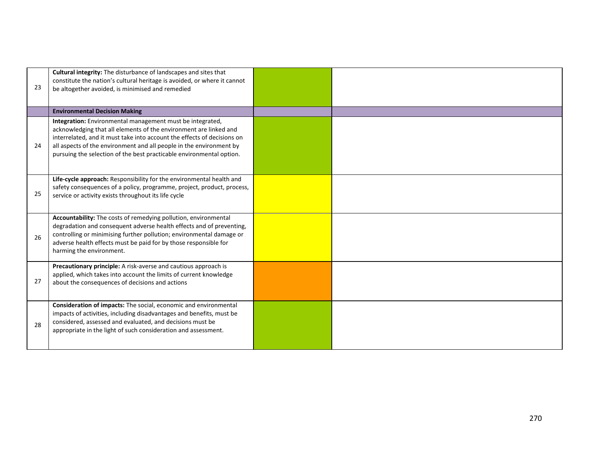| 23 | Cultural integrity: The disturbance of landscapes and sites that<br>constitute the nation's cultural heritage is avoided, or where it cannot<br>be altogether avoided, is minimised and remedied                                                                                                                                                         |  |
|----|----------------------------------------------------------------------------------------------------------------------------------------------------------------------------------------------------------------------------------------------------------------------------------------------------------------------------------------------------------|--|
|    | <b>Environmental Decision Making</b>                                                                                                                                                                                                                                                                                                                     |  |
| 24 | Integration: Environmental management must be integrated,<br>acknowledging that all elements of the environment are linked and<br>interrelated, and it must take into account the effects of decisions on<br>all aspects of the environment and all people in the environment by<br>pursuing the selection of the best practicable environmental option. |  |
| 25 | Life-cycle approach: Responsibility for the environmental health and<br>safety consequences of a policy, programme, project, product, process,<br>service or activity exists throughout its life cycle                                                                                                                                                   |  |
| 26 | Accountability: The costs of remedying pollution, environmental<br>degradation and consequent adverse health effects and of preventing,<br>controlling or minimising further pollution; environmental damage or<br>adverse health effects must be paid for by those responsible for<br>harming the environment.                                          |  |
| 27 | Precautionary principle: A risk-averse and cautious approach is<br>applied, which takes into account the limits of current knowledge<br>about the consequences of decisions and actions                                                                                                                                                                  |  |
| 28 | Consideration of impacts: The social, economic and environmental<br>impacts of activities, including disadvantages and benefits, must be<br>considered, assessed and evaluated, and decisions must be<br>appropriate in the light of such consideration and assessment.                                                                                  |  |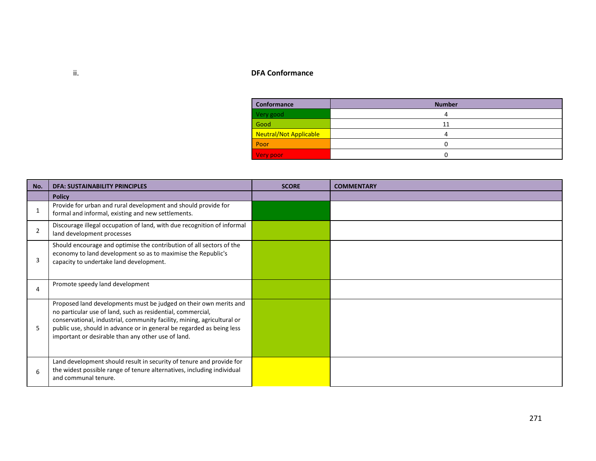# ii. **DFA Conformance**

| Conformance                   | <b>Number</b> |
|-------------------------------|---------------|
| Very good                     | 4             |
| Good                          | 11            |
| <b>Neutral/Not Applicable</b> | Д             |
| Poor                          |               |
| Very poor                     |               |

| No.            | <b>DFA: SUSTAINABILITY PRINCIPLES</b>                                                                                                                                                                                                                                                                                                      | <b>SCORE</b> | <b>COMMENTARY</b> |
|----------------|--------------------------------------------------------------------------------------------------------------------------------------------------------------------------------------------------------------------------------------------------------------------------------------------------------------------------------------------|--------------|-------------------|
|                | <b>Policy</b>                                                                                                                                                                                                                                                                                                                              |              |                   |
|                | Provide for urban and rural development and should provide for<br>formal and informal, existing and new settlements.                                                                                                                                                                                                                       |              |                   |
| $\overline{2}$ | Discourage illegal occupation of land, with due recognition of informal<br>land development processes                                                                                                                                                                                                                                      |              |                   |
| 3              | Should encourage and optimise the contribution of all sectors of the<br>economy to land development so as to maximise the Republic's<br>capacity to undertake land development.                                                                                                                                                            |              |                   |
| 4              | Promote speedy land development                                                                                                                                                                                                                                                                                                            |              |                   |
| 5              | Proposed land developments must be judged on their own merits and<br>no particular use of land, such as residential, commercial,<br>conservational, industrial, community facility, mining, agricultural or<br>public use, should in advance or in general be regarded as being less<br>important or desirable than any other use of land. |              |                   |
| 6              | Land development should result in security of tenure and provide for<br>the widest possible range of tenure alternatives, including individual<br>and communal tenure.                                                                                                                                                                     |              |                   |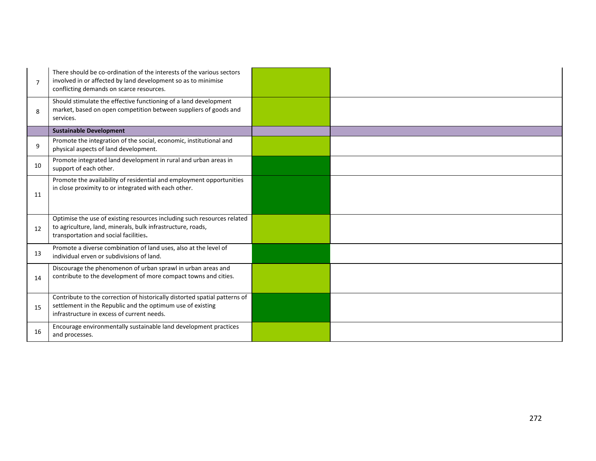| $\overline{7}$ | There should be co-ordination of the interests of the various sectors<br>involved in or affected by land development so as to minimise<br>conflicting demands on scarce resources.     |  |
|----------------|----------------------------------------------------------------------------------------------------------------------------------------------------------------------------------------|--|
| 8              | Should stimulate the effective functioning of a land development<br>market, based on open competition between suppliers of goods and<br>services.                                      |  |
|                | <b>Sustainable Development</b>                                                                                                                                                         |  |
| 9              | Promote the integration of the social, economic, institutional and<br>physical aspects of land development.                                                                            |  |
| 10             | Promote integrated land development in rural and urban areas in<br>support of each other.                                                                                              |  |
| 11             | Promote the availability of residential and employment opportunities<br>in close proximity to or integrated with each other.                                                           |  |
| 12             | Optimise the use of existing resources including such resources related<br>to agriculture, land, minerals, bulk infrastructure, roads,<br>transportation and social facilities.        |  |
| 13             | Promote a diverse combination of land uses, also at the level of<br>individual erven or subdivisions of land.                                                                          |  |
| 14             | Discourage the phenomenon of urban sprawl in urban areas and<br>contribute to the development of more compact towns and cities.                                                        |  |
| 15             | Contribute to the correction of historically distorted spatial patterns of<br>settlement in the Republic and the optimum use of existing<br>infrastructure in excess of current needs. |  |
| 16             | Encourage environmentally sustainable land development practices<br>and processes.                                                                                                     |  |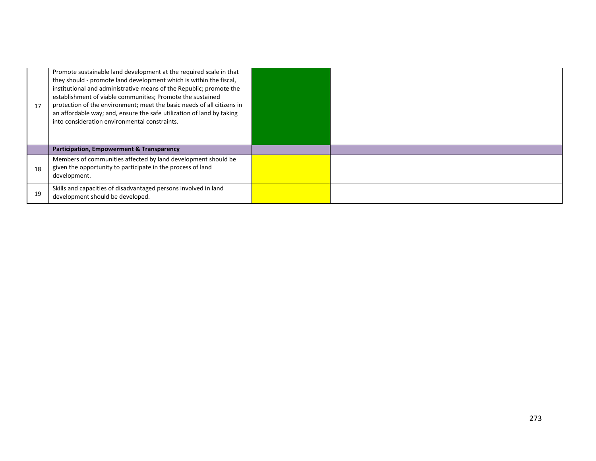| 17 | Promote sustainable land development at the required scale in that<br>they should - promote land development which is within the fiscal,<br>institutional and administrative means of the Republic; promote the<br>establishment of viable communities; Promote the sustained<br>protection of the environment; meet the basic needs of all citizens in<br>an affordable way; and, ensure the safe utilization of land by taking<br>into consideration environmental constraints. |  |
|----|-----------------------------------------------------------------------------------------------------------------------------------------------------------------------------------------------------------------------------------------------------------------------------------------------------------------------------------------------------------------------------------------------------------------------------------------------------------------------------------|--|
|    | Participation, Empowerment & Transparency                                                                                                                                                                                                                                                                                                                                                                                                                                         |  |
| 18 | Members of communities affected by land development should be<br>given the opportunity to participate in the process of land<br>development.                                                                                                                                                                                                                                                                                                                                      |  |
| 19 | Skills and capacities of disadvantaged persons involved in land<br>development should be developed.                                                                                                                                                                                                                                                                                                                                                                               |  |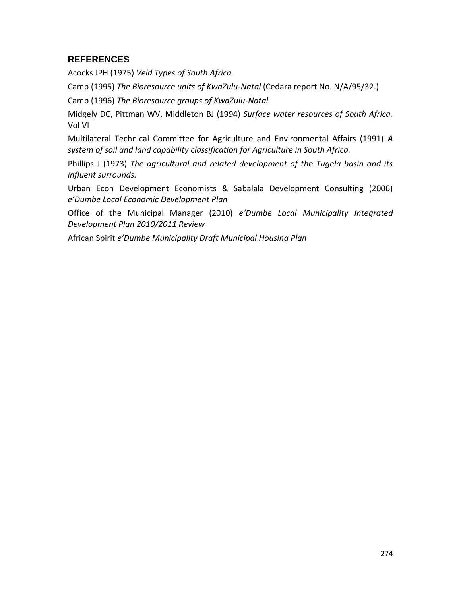# **REFERENCES**

Acocks JPH (1975) *Veld Types of South Africa.*

Camp (1995) *The Bioresource units of KwaZulu-Natal* (Cedara report No. N/A/95/32.)

Camp (1996) *The Bioresource groups of KwaZulu-Natal.*

Midgely DC, Pittman WV, Middleton BJ (1994) *Surface water resources of South Africa.* Vol VI

Multilateral Technical Committee for Agriculture and Environmental Affairs (1991) *A system of soil and land capability classification for Agriculture in South Africa.*

Phillips J (1973) *The agricultural and related development of the Tugela basin and its influent surrounds.*

Urban Econ Development Economists & Sabalala Development Consulting (2006) *e'Dumbe Local Economic Development Plan*

Office of the Municipal Manager (2010) *e'Dumbe Local Municipality Integrated Development Plan 2010/2011 Review*

African Spirit *e'Dumbe Municipality Draft Municipal Housing Plan*